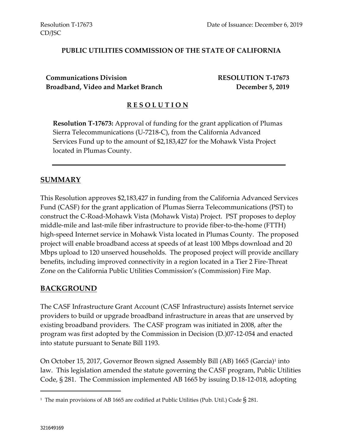#### **PUBLIC UTILITIES COMMISSION OF THE STATE OF CALIFORNIA**

**Communications Division RESOLUTION T-17673 Broadband, Video and Market Branch December 5, 2019**

#### **R E S O L U T I O N**

**Resolution T-17673:** Approval of funding for the grant application of Plumas Sierra Telecommunications (U-7218-C), from the California Advanced Services Fund up to the amount of \$2,183,427 for the Mohawk Vista Project located in Plumas County.

#### **SUMMARY**

This Resolution approves \$2,183,427 in funding from the California Advanced Services Fund (CASF) for the grant application of Plumas Sierra Telecommunications (PST) to construct the C-Road-Mohawk Vista (Mohawk Vista) Project. PST proposes to deploy middle-mile and last-mile fiber infrastructure to provide fiber-to-the-home (FTTH) high-speed Internet service in Mohawk Vista located in Plumas County. The proposed project will enable broadband access at speeds of at least 100 Mbps download and 20 Mbps upload to 120 unserved households. The proposed project will provide ancillary benefits, including improved connectivity in a region located in a Tier 2 Fire-Threat Zone on the California Public Utilities Commission's (Commission) Fire Map.

#### **BACKGROUND**

The CASF Infrastructure Grant Account (CASF Infrastructure) assists Internet service providers to build or upgrade broadband infrastructure in areas that are unserved by existing broadband providers. The CASF program was initiated in 2008, after the program was first adopted by the Commission in Decision (D.)07-12-054 and enacted into statute pursuant to Senate Bill 1193.

On October 15, 2017, Governor Brown signed Assembly Bill (AB) 1665 (Garcia)<sup>1</sup> into law. This legislation amended the statute governing the CASF program, Public Utilities Code, § 281. The Commission implemented AB 1665 by issuing D.18-12-018, adopting

 $\overline{a}$ 

 $^{\rm 1}$  The main provisions of AB 1665 are codified at Public Utilities (Pub. Util.) Code  $\S$  281.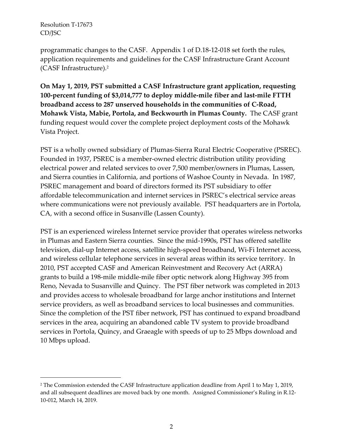$\overline{a}$ 

programmatic changes to the CASF. Appendix 1 of D.18-12-018 set forth the rules, application requirements and guidelines for the CASF Infrastructure Grant Account (CASF Infrastructure).<sup>2</sup>

**On May 1, 2019, PST submitted a CASF Infrastructure grant application, requesting 100-percent funding of \$3,014,777 to deploy middle-mile fiber and last-mile FTTH broadband access to 287 unserved households in the communities of C-Road, Mohawk Vista, Mabie, Portola, and Beckwourth in Plumas County.** The CASF grant funding request would cover the complete project deployment costs of the Mohawk Vista Project.

PST is a wholly owned subsidiary of Plumas-Sierra Rural Electric Cooperative (PSREC). Founded in 1937, PSREC is a member-owned electric distribution utility providing electrical power and related services to over 7,500 member/owners in Plumas, Lassen, and Sierra counties in California, and portions of Washoe County in Nevada. In 1987, PSREC management and board of directors formed its PST subsidiary to offer affordable telecommunication and internet services in PSREC's electrical service areas where communications were not previously available. PST headquarters are in Portola, CA, with a second office in Susanville (Lassen County).

PST is an experienced wireless Internet service provider that operates wireless networks in Plumas and Eastern Sierra counties. Since the mid-1990s, PST has offered satellite television, dial-up Internet access, satellite high-speed broadband, Wi-Fi Internet access, and wireless cellular telephone services in several areas within its service territory. In 2010, PST accepted CASF and American Reinvestment and Recovery Act (ARRA) grants to build a 198-mile middle-mile fiber optic network along Highway 395 from Reno, Nevada to Susanville and Quincy. The PST fiber network was completed in 2013 and provides access to wholesale broadband for large anchor institutions and Internet service providers, as well as broadband services to local businesses and communities. Since the completion of the PST fiber network, PST has continued to expand broadband services in the area, acquiring an abandoned cable TV system to provide broadband services in Portola, Quincy, and Graeagle with speeds of up to 25 Mbps download and 10 Mbps upload.

<sup>&</sup>lt;sup>2</sup> The Commission extended the CASF Infrastructure application deadline from April 1 to May 1, 2019, and all subsequent deadlines are moved back by one month. Assigned Commissioner's Ruling in R.12- 10-012, March 14, 2019.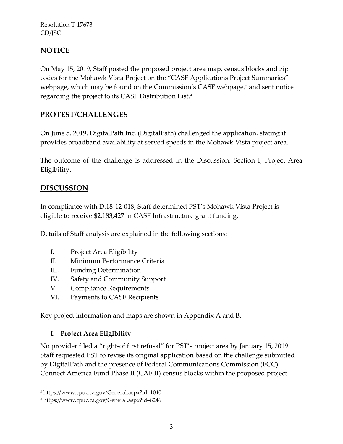# **NOTICE**

On May 15, 2019, Staff posted the proposed project area map, census blocks and zip codes for the Mohawk Vista Project on the "CASF Applications Project Summaries" webpage, which may be found on the Commission's CASF webpage, <sup>3</sup> and sent notice regarding the project to its CASF Distribution List.<sup>4</sup>

# **PROTEST/CHALLENGES**

On June 5, 2019, DigitalPath Inc. (DigitalPath) challenged the application, stating it provides broadband availability at served speeds in the Mohawk Vista project area.

The outcome of the challenge is addressed in the Discussion, Section I, Project Area Eligibility.

# **DISCUSSION**

In compliance with D.18-12-018, Staff determined PST's Mohawk Vista Project is eligible to receive \$2,183,427 in CASF Infrastructure grant funding.

Details of Staff analysis are explained in the following sections:

- I. Project Area Eligibility
- II. Minimum Performance Criteria
- III. Funding Determination
- IV. Safety and Community Support
- V. Compliance Requirements
- VI. Payments to CASF Recipients

Key project information and maps are shown in Appendix A and B.

#### **I. Project Area Eligibility**

 $\overline{a}$ 

No provider filed a "right-of first refusal" for PST's project area by January 15, 2019. Staff requested PST to revise its original application based on the challenge submitted by DigitalPath and the presence of Federal Communications Commission (FCC) Connect America Fund Phase II (CAF II) census blocks within the proposed project

<sup>3</sup> https://www.cpuc.ca.gov/General.aspx?id=1040

<sup>4</sup> https://www.cpuc.ca.gov/General.aspx?id=8246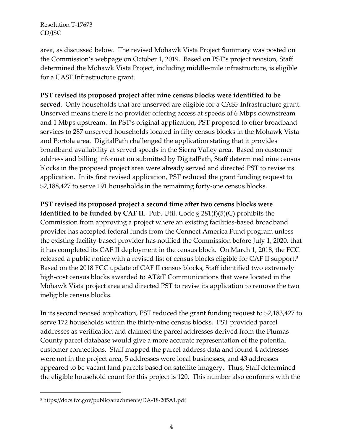area, as discussed below. The revised Mohawk Vista Project Summary was posted on the Commission's webpage on October 1, 2019. Based on PST's project revision, Staff determined the Mohawk Vista Project, including middle-mile infrastructure, is eligible for a CASF Infrastructure grant.

#### **PST revised its proposed project after nine census blocks were identified to be**

**served**. Only households that are unserved are eligible for a CASF Infrastructure grant. Unserved means there is no provider offering access at speeds of 6 Mbps downstream and 1 Mbps upstream. In PST's original application, PST proposed to offer broadband services to 287 unserved households located in fifty census blocks in the Mohawk Vista and Portola area. DigitalPath challenged the application stating that it provides broadband availability at served speeds in the Sierra Valley area. Based on customer address and billing information submitted by DigitalPath, Staff determined nine census blocks in the proposed project area were already served and directed PST to revise its application. In its first revised application, PST reduced the grant funding request to \$2,188,427 to serve 191 households in the remaining forty-one census blocks.

**PST revised its proposed project a second time after two census blocks were identified to be funded by CAF II**. Pub. Util. Code § 281(f)(5)(C) prohibits the Commission from approving a project where an existing facilities-based broadband provider has accepted federal funds from the Connect America Fund program unless the existing facility-based provider has notified the Commission before July 1, 2020, that it has completed its CAF II deployment in the census block. On March 1, 2018, the FCC released a public notice with a revised list of census blocks eligible for CAF II support.<sup>5</sup> Based on the 2018 FCC update of CAF II census blocks, Staff identified two extremely high-cost census blocks awarded to AT&T Communications that were located in the Mohawk Vista project area and directed PST to revise its application to remove the two ineligible census blocks.

In its second revised application, PST reduced the grant funding request to \$2,183,427 to serve 172 households within the thirty-nine census blocks. PST provided parcel addresses as verification and claimed the parcel addresses derived from the Plumas County parcel database would give a more accurate representation of the potential customer connections. Staff mapped the parcel address data and found 4 addresses were not in the project area, 5 addresses were local businesses, and 43 addresses appeared to be vacant land parcels based on satellite imagery. Thus, Staff determined the eligible household count for this project is 120. This number also conforms with the

 $\overline{a}$ 

<sup>5</sup> https://docs.fcc.gov/public/attachments/DA-18-205A1.pdf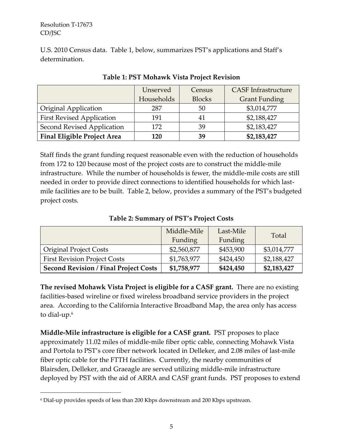$\overline{a}$ 

U.S. 2010 Census data. Table 1, below, summarizes PST's applications and Staff's determination.

|                                    | Unserved   | Census        | <b>CASF</b> Infrastructure |
|------------------------------------|------------|---------------|----------------------------|
|                                    | Households | <b>Blocks</b> | <b>Grant Funding</b>       |
| <b>Original Application</b>        | 287        | 50            | \$3,014,777                |
| <b>First Revised Application</b>   | 191        | 41            | \$2,188,427                |
| Second Revised Application         | 172        | 39            | \$2,183,427                |
| <b>Final Eligible Project Area</b> | 120        | 39            | \$2,183,427                |

**Table 1: PST Mohawk Vista Project Revision**

Staff finds the grant funding request reasonable even with the reduction of households from 172 to 120 because most of the project costs are to construct the middle-mile infrastructure. While the number of households is fewer, the middle-mile costs are still needed in order to provide direct connections to identified households for which lastmile facilities are to be built. Table 2, below, provides a summary of the PST's budgeted project costs.

| Table 2: Summary of PST's Project Costs |  |
|-----------------------------------------|--|
|                                         |  |

|                                              | Middle-Mile | Last-Mile | Total       |
|----------------------------------------------|-------------|-----------|-------------|
|                                              | Funding     | Funding   |             |
| <b>Original Project Costs</b>                | \$2,560,877 | \$453,900 | \$3,014,777 |
| <b>First Revision Project Costs</b>          | \$1,763,977 | \$424,450 | \$2,188,427 |
| <b>Second Revision / Final Project Costs</b> | \$1,758,977 | \$424,450 | \$2,183,427 |

**The revised Mohawk Vista Project is eligible for a CASF grant.** There are no existing facilities-based wireline or fixed wireless broadband service providers in the project area. According to the California Interactive Broadband Map, the area only has access to dial-up.<sup>6</sup>

**Middle-Mile infrastructure is eligible for a CASF grant.** PST proposes to place approximately 11.02 miles of middle-mile fiber optic cable, connecting Mohawk Vista and Portola to PST's core fiber network located in Delleker, and 2.08 miles of last-mile fiber optic cable for the FTTH facilities. Currently, the nearby communities of Blairsden, Delleker, and Graeagle are served utilizing middle-mile infrastructure deployed by PST with the aid of ARRA and CASF grant funds. PST proposes to extend

<sup>6</sup> Dial-up provides speeds of less than 200 Kbps downstream and 200 Kbps upstream.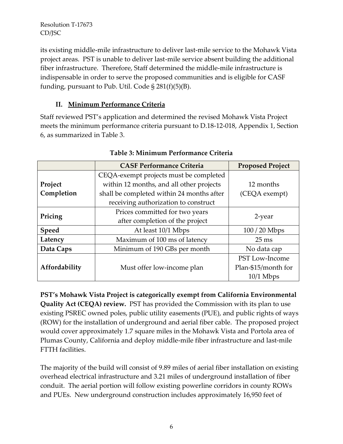its existing middle-mile infrastructure to deliver last-mile service to the Mohawk Vista project areas. PST is unable to deliver last-mile service absent building the additional fiber infrastructure. Therefore, Staff determined the middle-mile infrastructure is indispensable in order to serve the proposed communities and is eligible for CASF funding, pursuant to Pub. Util. Code § 281(f)(5)(B).

## **II. Minimum Performance Criteria**

Staff reviewed PST's application and determined the revised Mohawk Vista Project meets the minimum performance criteria pursuant to D.18-12-018, Appendix 1, Section 6, as summarized in Table 3.

|               | <b>CASF Performance Criteria</b>          | <b>Proposed Project</b> |  |
|---------------|-------------------------------------------|-------------------------|--|
|               | CEQA-exempt projects must be completed    |                         |  |
| Project       | within 12 months, and all other projects  | 12 months               |  |
| Completion    | shall be completed within 24 months after | (CEQA exempt)           |  |
|               | receiving authorization to construct      |                         |  |
|               | Prices committed for two years            | 2-year                  |  |
| Pricing       | after completion of the project           |                         |  |
| <b>Speed</b>  | At least 10/1 Mbps                        | $100/20$ Mbps           |  |
| Latency       | Maximum of 100 ms of latency              | $25 \text{ ms}$         |  |
| Data Caps     | Minimum of 190 GBs per month              | No data cap             |  |
|               |                                           | PST Low-Income          |  |
| Affordability | Must offer low-income plan                | Plan-\$15/month for     |  |
|               |                                           | $10/1$ Mbps             |  |

### **Table 3: Minimum Performance Criteria**

**PST's Mohawk Vista Project is categorically exempt from California Environmental Quality Act (CEQA) review.** PST has provided the Commission with its plan to use existing PSREC owned poles, public utility easements (PUE), and public rights of ways (ROW) for the installation of underground and aerial fiber cable. The proposed project would cover approximately 1.7 square miles in the Mohawk Vista and Portola area of Plumas County, California and deploy middle-mile fiber infrastructure and last-mile FTTH facilities.

The majority of the build will consist of 9.89 miles of aerial fiber installation on existing overhead electrical infrastructure and 3.21 miles of underground installation of fiber conduit. The aerial portion will follow existing powerline corridors in county ROWs and PUEs. New underground construction includes approximately 16,950 feet of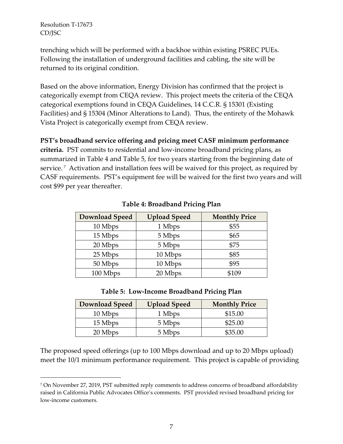$\overline{a}$ 

trenching which will be performed with a backhoe within existing PSREC PUEs. Following the installation of underground facilities and cabling, the site will be returned to its original condition.

Based on the above information, Energy Division has confirmed that the project is categorically exempt from CEQA review. This project meets the criteria of the CEQA categorical exemptions found in CEQA Guidelines, 14 C.C.R. § 15301 (Existing Facilities) and § 15304 (Minor Alterations to Land). Thus, the entirety of the Mohawk Vista Project is categorically exempt from CEQA review.

#### **PST's broadband service offering and pricing meet CASF minimum performance**

**criteria.** PST commits to residential and low-income broadband pricing plans, as summarized in Table 4 and Table 5, for two years starting from the beginning date of service. 7 Activation and installation fees will be waived for this project, as required by CASF requirements. PST's equipment fee will be waived for the first two years and will cost \$99 per year thereafter.

| <b>Download Speed</b> | <b>Upload Speed</b> | <b>Monthly Price</b> |
|-----------------------|---------------------|----------------------|
| 10 Mbps               | 1 Mbps              | \$55                 |
| 15 Mbps               | 5 Mbps              | \$65                 |
| 20 Mbps               | 5 Mbps              | \$75                 |
| 25 Mbps               | 10 Mbps             | \$85                 |
| 50 Mbps               | 10 Mbps             | \$95                 |
| 100 Mbps              | 20 Mbps             | \$109                |

**Table 4: Broadband Pricing Plan**

#### **Table 5: Low-Income Broadband Pricing Plan**

| <b>Download Speed</b> | <b>Upload Speed</b> | <b>Monthly Price</b> |
|-----------------------|---------------------|----------------------|
| 10 Mbps               | 1 Mbps              | \$15.00              |
| 15 Mbps               | 5 Mbps              | \$25.00              |
| 20 Mbps               | 5 Mbps              | \$35.00              |

The proposed speed offerings (up to 100 Mbps download and up to 20 Mbps upload) meet the 10/1 minimum performance requirement. This project is capable of providing

<sup>7</sup> On November 27, 2019, PST submitted reply comments to address concerns of broadband affordability raised in California Public Advocates Office's comments. PST provided revised broadband pricing for low-income customers.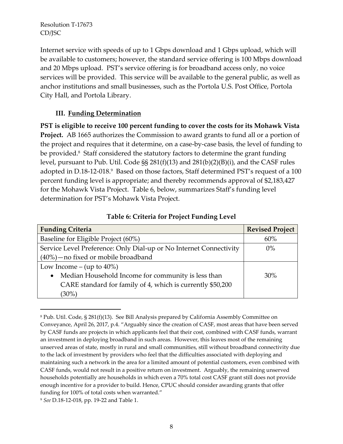Internet service with speeds of up to 1 Gbps download and 1 Gbps upload, which will be available to customers; however, the standard service offering is 100 Mbps download and 20 Mbps upload. PST's service offering is for broadband access only, no voice services will be provided. This service will be available to the general public, as well as anchor institutions and small businesses, such as the Portola U.S. Post Office, Portola City Hall, and Portola Library.

### **III. Funding Determination**

**PST is eligible to receive 100 percent funding to cover the costs for its Mohawk Vista Project.** AB 1665 authorizes the Commission to award grants to fund all or a portion of the project and requires that it determine, on a case-by-case basis, the level of funding to be provided.<sup>8</sup> Staff considered the statutory factors to determine the grant funding level, pursuant to Pub. Util. Code §§ 281(f)(13) and 281(b)(2)(B)(i), and the CASF rules adopted in D.18-12-018.<sup>9</sup> Based on those factors, Staff determined PST's request of a 100 percent funding level is appropriate; and thereby recommends approval of \$2,183,427 for the Mohawk Vista Project. Table 6, below, summarizes Staff's funding level determination for PST's Mohawk Vista Project.

| <b>Funding Criteria</b>                                            | <b>Revised Project</b> |
|--------------------------------------------------------------------|------------------------|
| Baseline for Eligible Project (60%)                                | 60%                    |
| Service Level Preference: Only Dial-up or No Internet Connectivity | $0\%$                  |
| $(40\%)$ - no fixed or mobile broadband                            |                        |
| Low Income – (up to $40\%$ )                                       |                        |
| Median Household Income for community is less than<br>$\bullet$    | 30%                    |
| CARE standard for family of 4, which is currently \$50,200         |                        |
| $(30\%)$                                                           |                        |

#### **Table 6: Criteria for Project Funding Level**

 $\overline{a}$ 

<sup>8</sup> Pub. Util. Code, § 281(f)(13). See Bill Analysis prepared by California Assembly Committee on Conveyance, April 26, 2017, p.4. "Arguably since the creation of CASF, most areas that have been served by CASF funds are projects in which applicants feel that their cost, combined with CASF funds, warrant an investment in deploying broadband in such areas. However, this leaves most of the remaining unserved areas of state, mostly in rural and small communities, still without broadband connectivity due to the lack of investment by providers who feel that the difficulties associated with deploying and maintaining such a network in the area for a limited amount of potential customers, even combined with CASF funds, would not result in a positive return on investment. Arguably, the remaining unserved households potentially are households in which even a 70% total cost CASF grant still does not provide enough incentive for a provider to build. Hence, CPUC should consider awarding grants that offer funding for 100% of total costs when warranted."

<sup>9</sup> *See* D.18-12-018, pp. 19-22 and Table 1.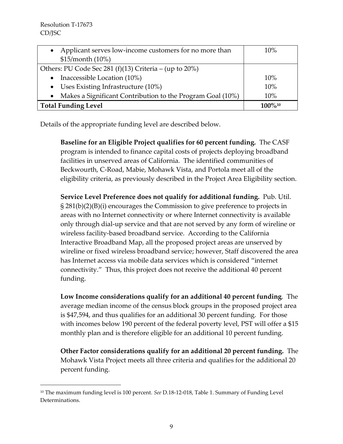$\overline{a}$ 

| Applicant serves low-income customers for no more than<br>$\bullet$     | 10%          |
|-------------------------------------------------------------------------|--------------|
| \$15/month (10%)                                                        |              |
| Others: PU Code Sec 281 (f)(13) Criteria – (up to 20%)                  |              |
| Inaccessible Location (10%)<br>$\bullet$                                | 10%          |
| • Uses Existing Infrastructure $(10\%)$                                 | 10%          |
| Makes a Significant Contribution to the Program Goal (10%)<br>$\bullet$ | 10%          |
| <b>Total Funding Level</b>                                              | $100\%^{10}$ |

Details of the appropriate funding level are described below.

**Baseline for an Eligible Project qualifies for 60 percent funding.** The CASF program is intended to finance capital costs of projects deploying broadband facilities in unserved areas of California. The identified communities of Beckwourth, C-Road, Mabie, Mohawk Vista, and Portola meet all of the eligibility criteria, as previously described in the Project Area Eligibility section.

**Service Level Preference does not qualify for additional funding.** Pub. Util. § 281(b)(2)(B)(i) encourages the Commission to give preference to projects in areas with no Internet connectivity or where Internet connectivity is available only through dial-up service and that are not served by any form of wireline or wireless facility-based broadband service. According to the California Interactive Broadband Map, all the proposed project areas are unserved by wireline or fixed wireless broadband service; however, Staff discovered the area has Internet access via mobile data services which is considered "internet connectivity." Thus, this project does not receive the additional 40 percent funding.

**Low Income considerations qualify for an additional 40 percent funding**. The average median income of the census block groups in the proposed project area is \$47,594, and thus qualifies for an additional 30 percent funding. For those with incomes below 190 percent of the federal poverty level, PST will offer a \$15 monthly plan and is therefore eligible for an additional 10 percent funding.

**Other Factor considerations qualify for an additional 20 percent funding.** The Mohawk Vista Project meets all three criteria and qualifies for the additional 20 percent funding.

<sup>10</sup> The maximum funding level is 100 percent. *See* D.18-12-018, Table 1. Summary of Funding Level Determinations.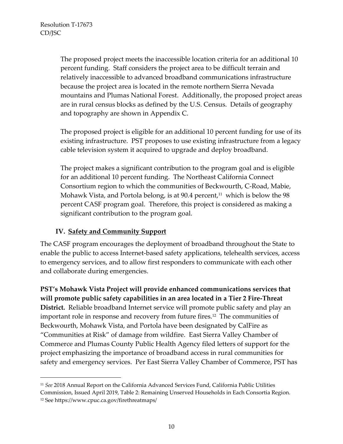$\overline{a}$ 

The proposed project meets the inaccessible location criteria for an additional 10 percent funding. Staff considers the project area to be difficult terrain and relatively inaccessible to advanced broadband communications infrastructure because the project area is located in the remote northern Sierra Nevada mountains and Plumas National Forest. Additionally, the proposed project areas are in rural census blocks as defined by the U.S. Census. Details of geography and topography are shown in Appendix C.

The proposed project is eligible for an additional 10 percent funding for use of its existing infrastructure. PST proposes to use existing infrastructure from a legacy cable television system it acquired to upgrade and deploy broadband.

The project makes a significant contribution to the program goal and is eligible for an additional 10 percent funding. The Northeast California Connect Consortium region to which the communities of Beckwourth, C-Road, Mabie, Mohawk Vista, and Portola belong, is at 90.4 percent, $^{\rm 11}$  which is below the 98  $^{\rm 1}$ percent CASF program goal. Therefore, this project is considered as making a significant contribution to the program goal.

#### **IV. Safety and Community Support**

The CASF program encourages the deployment of broadband throughout the State to enable the public to access Internet-based safety applications, telehealth services, access to emergency services, and to allow first responders to communicate with each other and collaborate during emergencies.

**PST's Mohawk Vista Project will provide enhanced communications services that will promote public safety capabilities in an area located in a Tier 2 Fire-Threat District.** Reliable broadband Internet service will promote public safety and play an important role in response and recovery from future fires.<sup>12</sup> The communities of Beckwourth, Mohawk Vista, and Portola have been designated by CalFire as "Communities at Risk" of damage from wildfire. East Sierra Valley Chamber of Commerce and Plumas County Public Health Agency filed letters of support for the project emphasizing the importance of broadband access in rural communities for safety and emergency services. Per East Sierra Valley Chamber of Commerce, PST has

<sup>11</sup> *See* 2018 Annual Report on the California Advanced Services Fund, California Public Utilities Commission, Issued April 2019, Table 2: Remaining Unserved Households in Each Consortia Region. <sup>12</sup> See https://www.cpuc.ca.gov/firethreatmaps/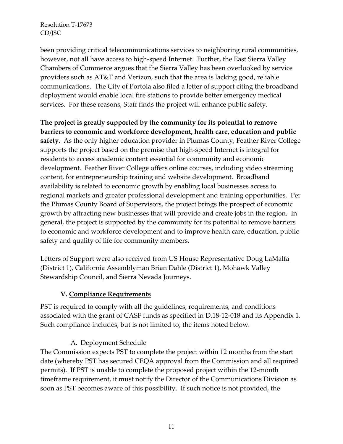been providing critical telecommunications services to neighboring rural communities, however, not all have access to high-speed Internet. Further, the East Sierra Valley Chambers of Commerce argues that the Sierra Valley has been overlooked by service providers such as AT&T and Verizon, such that the area is lacking good, reliable communications. The City of Portola also filed a letter of support citing the broadband deployment would enable local fire stations to provide better emergency medical services. For these reasons, Staff finds the project will enhance public safety.

**The project is greatly supported by the community for its potential to remove barriers to economic and workforce development, health care, education and public safety.** As the only higher education provider in Plumas County, Feather River College supports the project based on the premise that high-speed Internet is integral for residents to access academic content essential for community and economic development. Feather River College offers online courses, including video streaming content, for entrepreneurship training and website development. Broadband availability is related to economic growth by enabling local businesses access to regional markets and greater professional development and training opportunities. Per the Plumas County Board of Supervisors, the project brings the prospect of economic growth by attracting new businesses that will provide and create jobs in the region. In general, the project is supported by the community for its potential to remove barriers to economic and workforce development and to improve health care, education, public safety and quality of life for community members.

Letters of Support were also received from US House Representative Doug LaMalfa (District 1), California Assemblyman Brian Dahle (District 1), Mohawk Valley Stewardship Council, and Sierra Nevada Journeys.

#### **V. Compliance Requirements**

PST is required to comply with all the guidelines, requirements, and conditions associated with the grant of CASF funds as specified in D.18-12-018 and its Appendix 1. Such compliance includes, but is not limited to, the items noted below.

#### A. Deployment Schedule

The Commission expects PST to complete the project within 12 months from the start date (whereby PST has secured CEQA approval from the Commission and all required permits). If PST is unable to complete the proposed project within the 12-month timeframe requirement, it must notify the Director of the Communications Division as soon as PST becomes aware of this possibility. If such notice is not provided, the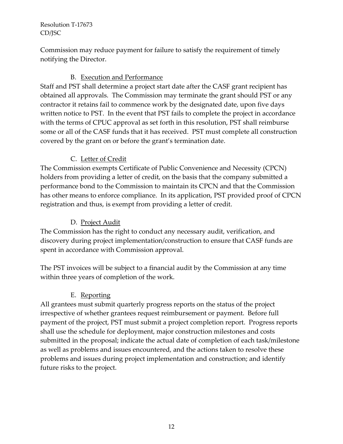Commission may reduce payment for failure to satisfy the requirement of timely notifying the Director.

### B. Execution and Performance

Staff and PST shall determine a project start date after the CASF grant recipient has obtained all approvals. The Commission may terminate the grant should PST or any contractor it retains fail to commence work by the designated date, upon five days written notice to PST. In the event that PST fails to complete the project in accordance with the terms of CPUC approval as set forth in this resolution, PST shall reimburse some or all of the CASF funds that it has received. PST must complete all construction covered by the grant on or before the grant's termination date.

# C. Letter of Credit

The Commission exempts Certificate of Public Convenience and Necessity (CPCN) holders from providing a letter of credit, on the basis that the company submitted a performance bond to the Commission to maintain its CPCN and that the Commission has other means to enforce compliance. In its application, PST provided proof of CPCN registration and thus, is exempt from providing a letter of credit.

## D. Project Audit

The Commission has the right to conduct any necessary audit, verification, and discovery during project implementation/construction to ensure that CASF funds are spent in accordance with Commission approval.

The PST invoices will be subject to a financial audit by the Commission at any time within three years of completion of the work.

## E. Reporting

All grantees must submit quarterly progress reports on the status of the project irrespective of whether grantees request reimbursement or payment. Before full payment of the project, PST must submit a project completion report. Progress reports shall use the schedule for deployment, major construction milestones and costs submitted in the proposal; indicate the actual date of completion of each task/milestone as well as problems and issues encountered, and the actions taken to resolve these problems and issues during project implementation and construction; and identify future risks to the project.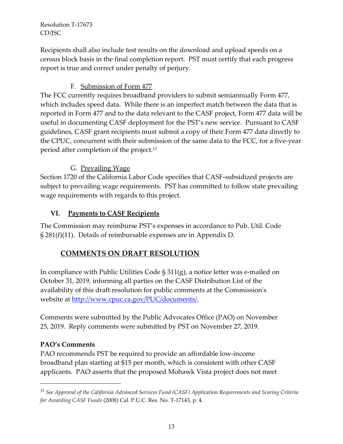Recipients shall also include test results on the download and upload speeds on a census block basis in the final completion report. PST must certify that each progress report is true and correct under penalty of perjury.

## F. Submission of Form 477

The FCC currently requires broadband providers to submit semiannually Form 477, which includes speed data. While there is an imperfect match between the data that is reported in Form 477 and to the data relevant to the CASF project, Form 477 data will be useful in documenting CASF deployment for the PST's new service. Pursuant to CASF guidelines, CASF grant recipients must submit a copy of their Form 477 data directly to the CPUC, concurrent with their submission of the same data to the FCC, for a five-year period after completion of the project.<sup>13</sup>

# G. Prevailing Wage

Section 1720 of the California Labor Code specifies that CASF-subsidized projects are subject to prevailing wage requirements. PST has committed to follow state prevailing wage requirements with regards to this project.

## **VI. Payments to CASF Recipients**

The Commission may reimburse PST's expenses in accordance to Pub. Util. Code § 281(f)(11). Details of reimbursable expenses are in Appendix D.

# **COMMENTS ON DRAFT RESOLUTION**

In compliance with Public Utilities Code § 311(g), a notice letter was e-mailed on October 31, 2019, informing all parties on the CASF Distribution List of the availability of this draft resolution for public comments at the Commission's website at [http://www.cpuc.ca.gov/PUC/documents/.](http://www.cpuc.ca.gov/PUC/documents/)

Comments were submitted by the Public Advocates Office (PAO) on November 25, 2019. Reply comments were submitted by PST on November 27, 2019.

## **PAO's Comments**

 $\overline{a}$ 

PAO recommends PST be required to provide an affordable low-income broadband plan starting at \$15 per month, which is consistent with other CASF applicants. PAO asserts that the proposed Mohawk Vista project does not meet

<sup>13</sup> *See Approval of the California Advanced Services Fund (CASF) Application Requirements and Scoring Criteria for Awarding CASF Funds* (2008) Cal. P.U.C. Res. No. T-17143, p. 4.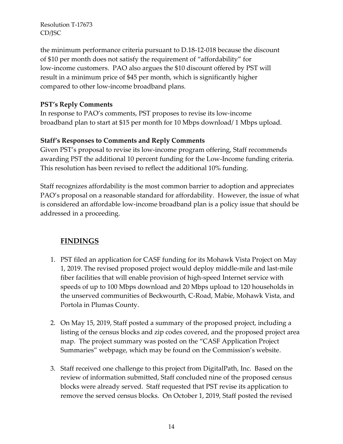the minimum performance criteria pursuant to D.18-12-018 because the discount of \$10 per month does not satisfy the requirement of "affordability" for low-income customers. PAO also argues the \$10 discount offered by PST will result in a minimum price of \$45 per month, which is significantly higher compared to other low-income broadband plans.

### **PST's Reply Comments**

In response to PAO's comments, PST proposes to revise its low-income broadband plan to start at \$15 per month for 10 Mbps download/ 1 Mbps upload.

### **Staff's Responses to Comments and Reply Comments**

Given PST's proposal to revise its low-income program offering, Staff recommends awarding PST the additional 10 percent funding for the Low-Income funding criteria. This resolution has been revised to reflect the additional 10% funding.

Staff recognizes affordability is the most common barrier to adoption and appreciates PAO's proposal on a reasonable standard for affordability. However, the issue of what is considered an affordable low-income broadband plan is a policy issue that should be addressed in a proceeding.

## **FINDINGS**

- 1. PST filed an application for CASF funding for its Mohawk Vista Project on May 1, 2019. The revised proposed project would deploy middle-mile and last-mile fiber facilities that will enable provision of high-speed Internet service with speeds of up to 100 Mbps download and 20 Mbps upload to 120 households in the unserved communities of Beckwourth, C-Road, Mabie, Mohawk Vista, and Portola in Plumas County.
- 2. On May 15, 2019, Staff posted a summary of the proposed project, including a listing of the census blocks and zip codes covered, and the proposed project area map. The project summary was posted on the "CASF Application Project Summaries" webpage, which may be found on the Commission's website.
- 3. Staff received one challenge to this project from DigitalPath, Inc. Based on the review of information submitted, Staff concluded nine of the proposed census blocks were already served. Staff requested that PST revise its application to remove the served census blocks. On October 1, 2019, Staff posted the revised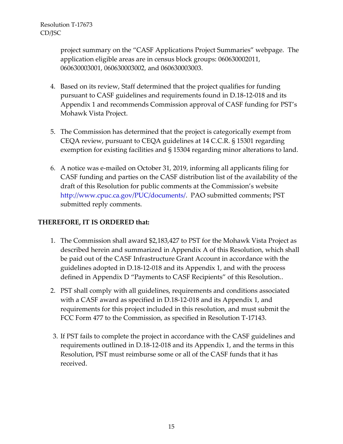project summary on the "CASF Applications Project Summaries" webpage. The application eligible areas are in census block groups: 060630002011, 060630003001, 060630003002, and 060630003003.

- 4. Based on its review, Staff determined that the project qualifies for funding pursuant to CASF guidelines and requirements found in D.18-12-018 and its Appendix 1 and recommends Commission approval of CASF funding for PST's Mohawk Vista Project.
- 5. The Commission has determined that the project is categorically exempt from CEQA review, pursuant to CEQA guidelines at 14 C.C.R. § 15301 regarding exemption for existing facilities and § 15304 regarding minor alterations to land.
- 6. A notice was e-mailed on October 31, 2019, informing all applicants filing for CASF funding and parties on the CASF distribution list of the availability of the draft of this Resolution for public comments at the Commission's website http://www.cpuc.ca.gov/PUC/documents/. PAO submitted comments; PST submitted reply comments.

### **THEREFORE, IT IS ORDERED that:**

- 1. The Commission shall award \$2,183,427 to PST for the Mohawk Vista Project as described herein and summarized in Appendix A of this Resolution, which shall be paid out of the CASF Infrastructure Grant Account in accordance with the guidelines adopted in D.18-12-018 and its Appendix 1, and with the process defined in Appendix D "Payments to CASF Recipients" of this Resolution..
- 2. PST shall comply with all guidelines, requirements and conditions associated with a CASF award as specified in D.18-12-018 and its Appendix 1, and requirements for this project included in this resolution, and must submit the FCC Form 477 to the Commission, as specified in Resolution T-17143.
- 3. If PST fails to complete the project in accordance with the CASF guidelines and requirements outlined in D.18-12-018 and its Appendix 1, and the terms in this Resolution, PST must reimburse some or all of the CASF funds that it has received.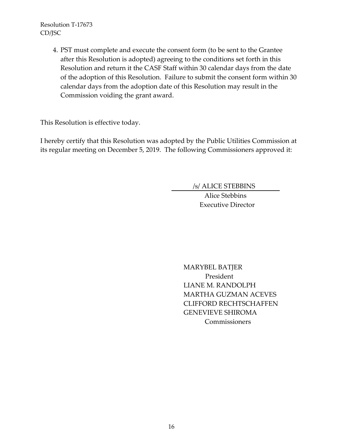> 4. PST must complete and execute the consent form (to be sent to the Grantee after this Resolution is adopted) agreeing to the conditions set forth in this Resolution and return it the CASF Staff within 30 calendar days from the date of the adoption of this Resolution. Failure to submit the consent form within 30 calendar days from the adoption date of this Resolution may result in the Commission voiding the grant award.

This Resolution is effective today.

I hereby certify that this Resolution was adopted by the Public Utilities Commission at its regular meeting on December 5, 2019. The following Commissioners approved it:

/s/ ALICE STEBBINS

Alice Stebbins Executive Director

MARYBEL BATJER President LIANE M. RANDOLPH MARTHA GUZMAN ACEVES CLIFFORD RECHTSCHAFFEN GENEVIEVE SHIROMA Commissioners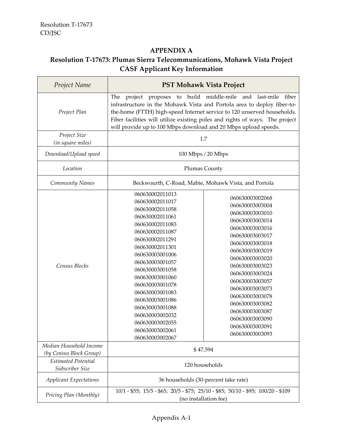f

## **APPENDIX A**

# **Resolution T-17673: Plumas Sierra Telecommunications, Mohawk Vista Project CASF Applicant Key Information**

| Project Name                                       | <b>PST Mohawk Vista Project</b>                                                                                                                                                                                                                                                                                                                                                          |                                                                                                                                                                                                                                                                                                                                                                       |
|----------------------------------------------------|------------------------------------------------------------------------------------------------------------------------------------------------------------------------------------------------------------------------------------------------------------------------------------------------------------------------------------------------------------------------------------------|-----------------------------------------------------------------------------------------------------------------------------------------------------------------------------------------------------------------------------------------------------------------------------------------------------------------------------------------------------------------------|
| Project Plan                                       | project proposes to build<br>The<br>infrastructure in the Mohawk Vista and Portola area to deploy fiber-to-<br>the-home (FTTH) high-speed Internet service to 120 unserved households.<br>Fiber facilities will utilize existing poles and rights of ways. The project<br>will provide up to 100 Mbps download and 20 Mbps upload speeds.                                                | middle-mile<br>and<br>last-mile<br>fiber                                                                                                                                                                                                                                                                                                                              |
| Project Size<br>(in square miles)                  | 1.7                                                                                                                                                                                                                                                                                                                                                                                      |                                                                                                                                                                                                                                                                                                                                                                       |
| Download/Upload speed                              | 100 Mbps / 20 Mbps                                                                                                                                                                                                                                                                                                                                                                       |                                                                                                                                                                                                                                                                                                                                                                       |
| Location                                           | <b>Plumas County</b>                                                                                                                                                                                                                                                                                                                                                                     |                                                                                                                                                                                                                                                                                                                                                                       |
| Community Names                                    | Beckwourth, C-Road, Mabie, Mohawk Vista, and Portola                                                                                                                                                                                                                                                                                                                                     |                                                                                                                                                                                                                                                                                                                                                                       |
| Census Blocks                                      | 060630002011013<br>060630002011017<br>060630002011058<br>060630002011061<br>060630002011083<br>060630002011087<br>060630002011291<br>060630002011301<br>060630003001006<br>060630003001057<br>060630003001058<br>060630003001060<br>060630003001078<br>060630003001083<br>060630003001086<br>060630003001088<br>060630003002032<br>060630003002055<br>060630003002061<br>060630003002067 | 060630003002068<br>060630003003004<br>060630003003010<br>060630003003014<br>060630003003016<br>060630003003017<br>060630003003018<br>060630003003019<br>060630003003020<br>060630003003023<br>060630003003024<br>060630003003057<br>060630003003073<br>060630003003078<br>060630003003082<br>060630003003087<br>060630003003090<br>060630003003091<br>060630003003093 |
| Median Household Income<br>(by Census Block Group) | \$47,594                                                                                                                                                                                                                                                                                                                                                                                 |                                                                                                                                                                                                                                                                                                                                                                       |
| <b>Estimated Potential</b><br>Subscriber Size      | 120 households                                                                                                                                                                                                                                                                                                                                                                           |                                                                                                                                                                                                                                                                                                                                                                       |
| <b>Applicant Expectations</b>                      | 36 households (30-percent take rate)                                                                                                                                                                                                                                                                                                                                                     |                                                                                                                                                                                                                                                                                                                                                                       |
| Pricing Plan (Monthly)                             | 10/1 - \$55; 15/5 - \$65; 20/5 - \$75; 25/10 - \$85; 50/10 - \$95; 100/20 - \$109<br>(no installation fee)                                                                                                                                                                                                                                                                               |                                                                                                                                                                                                                                                                                                                                                                       |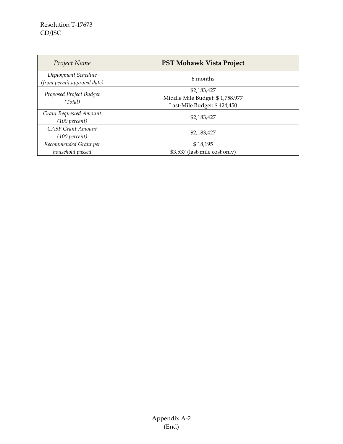| Project Name                                       | <b>PST Mohawk Vista Project</b>                                               |  |
|----------------------------------------------------|-------------------------------------------------------------------------------|--|
| Deployment Schedule<br>(from permit approval date) | 6 months                                                                      |  |
| Proposed Project Budget<br>(Total)                 | \$2,183,427<br>Middle Mile Budget: \$1,758,977<br>Last-Mile Budget: \$424,450 |  |
| Grant Requested Amount<br>(100 percent)            | \$2,183,427                                                                   |  |
| <b>CASF Grant Amount</b><br>(100 percent)          | \$2,183,427                                                                   |  |
| Recommended Grant per<br>household passed          | \$18,195<br>\$3,537 (last-mile cost only)                                     |  |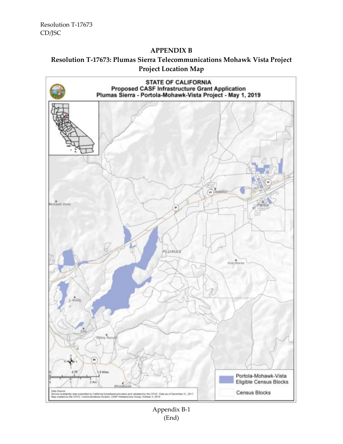#### **APPENDIX B**

## **Resolution T-17673: Plumas Sierra Telecommunications Mohawk Vista Project Project Location Map**



Appendix B-1 (End)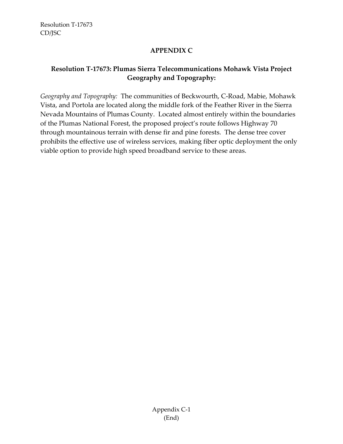### **APPENDIX C**

## **Resolution T-17673: Plumas Sierra Telecommunications Mohawk Vista Project Geography and Topography:**

*Geography and Topography:* The communities of Beckwourth, C-Road, Mabie, Mohawk Vista, and Portola are located along the middle fork of the Feather River in the Sierra Nevada Mountains of Plumas County. Located almost entirely within the boundaries of the Plumas National Forest, the proposed project's route follows Highway 70 through mountainous terrain with dense fir and pine forests. The dense tree cover prohibits the effective use of wireless services, making fiber optic deployment the only viable option to provide high speed broadband service to these areas.